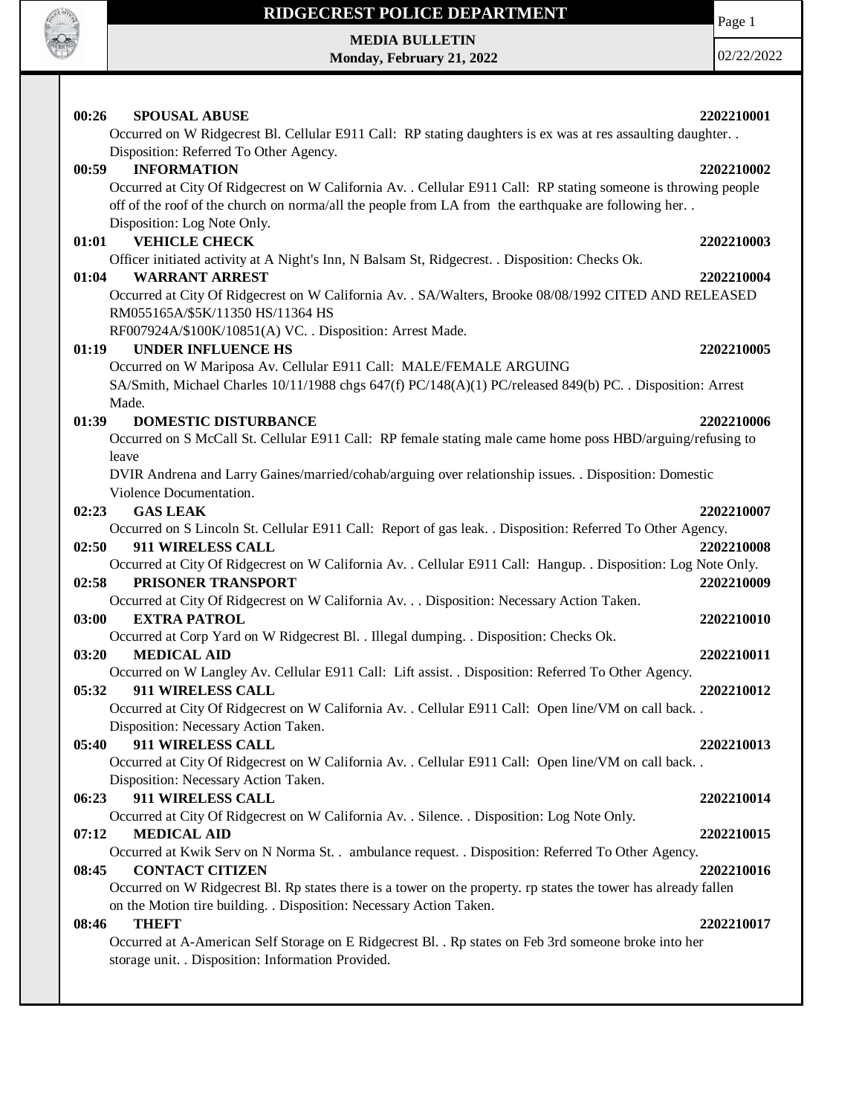

# **MEDIA BULLETIN**

**Monday, February 21, 2022**

Page 1

02/22/2022

| 00:26<br><b>SPOUSAL ABUSE</b><br>Occurred on W Ridgecrest Bl. Cellular E911 Call: RP stating daughters is ex was at res assaulting daughter                                                                                                          | 2202210001 |
|------------------------------------------------------------------------------------------------------------------------------------------------------------------------------------------------------------------------------------------------------|------------|
| Disposition: Referred To Other Agency.                                                                                                                                                                                                               |            |
| 00:59<br><b>INFORMATION</b><br>Occurred at City Of Ridgecrest on W California Av. . Cellular E911 Call: RP stating someone is throwing people<br>off of the roof of the church on norma/all the people from LA from the earthquake are following her | 2202210002 |
| Disposition: Log Note Only.                                                                                                                                                                                                                          |            |
| <b>VEHICLE CHECK</b><br>01:01                                                                                                                                                                                                                        | 2202210003 |
| Officer initiated activity at A Night's Inn, N Balsam St, Ridgecrest. . Disposition: Checks Ok.                                                                                                                                                      |            |
| <b>WARRANT ARREST</b><br>01:04                                                                                                                                                                                                                       | 2202210004 |
| Occurred at City Of Ridgecrest on W California Av. . SA/Walters, Brooke 08/08/1992 CITED AND RELEASED<br>RM055165A/\$5K/11350 HS/11364 HS                                                                                                            |            |
| RF007924A/\$100K/10851(A) VC. . Disposition: Arrest Made.                                                                                                                                                                                            |            |
| <b>UNDER INFLUENCE HS</b><br>01:19                                                                                                                                                                                                                   | 2202210005 |
| Occurred on W Mariposa Av. Cellular E911 Call: MALE/FEMALE ARGUING                                                                                                                                                                                   |            |
| SA/Smith, Michael Charles 10/11/1988 chgs 647(f) PC/148(A)(1) PC/released 849(b) PC. . Disposition: Arrest<br>Made.                                                                                                                                  |            |
| <b>DOMESTIC DISTURBANCE</b><br>01:39                                                                                                                                                                                                                 | 2202210006 |
| Occurred on S McCall St. Cellular E911 Call: RP female stating male came home poss HBD/arguing/refusing to                                                                                                                                           |            |
| leave                                                                                                                                                                                                                                                |            |
| DVIR Andrena and Larry Gaines/married/cohab/arguing over relationship issues. . Disposition: Domestic                                                                                                                                                |            |
| Violence Documentation.                                                                                                                                                                                                                              |            |
| <b>GAS LEAK</b><br>02:23                                                                                                                                                                                                                             | 2202210007 |
| Occurred on S Lincoln St. Cellular E911 Call: Report of gas leak. . Disposition: Referred To Other Agency.                                                                                                                                           |            |
| 02:50<br><b>911 WIRELESS CALL</b>                                                                                                                                                                                                                    | 2202210008 |
| Occurred at City Of Ridgecrest on W California Av. . Cellular E911 Call: Hangup. . Disposition: Log Note Only.                                                                                                                                       |            |
| PRISONER TRANSPORT<br>02:58                                                                                                                                                                                                                          | 2202210009 |
| Occurred at City Of Ridgecrest on W California Av. Disposition: Necessary Action Taken.                                                                                                                                                              |            |
| 03:00<br><b>EXTRA PATROL</b>                                                                                                                                                                                                                         | 2202210010 |
| Occurred at Corp Yard on W Ridgecrest Bl. . Illegal dumping. . Disposition: Checks Ok.                                                                                                                                                               |            |
| 03:20<br><b>MEDICAL AID</b>                                                                                                                                                                                                                          | 2202210011 |
| Occurred on W Langley Av. Cellular E911 Call: Lift assist. . Disposition: Referred To Other Agency.<br>05:32<br>911 WIRELESS CALL                                                                                                                    | 2202210012 |
| Occurred at City Of Ridgecrest on W California Av. . Cellular E911 Call: Open line/VM on call back                                                                                                                                                   |            |
| Disposition: Necessary Action Taken.                                                                                                                                                                                                                 |            |
| 05:40<br>911 WIRELESS CALL                                                                                                                                                                                                                           | 2202210013 |
| Occurred at City Of Ridgecrest on W California Av. . Cellular E911 Call: Open line/VM on call back. .                                                                                                                                                |            |
| Disposition: Necessary Action Taken.                                                                                                                                                                                                                 |            |
| 06:23<br>911 WIRELESS CALL                                                                                                                                                                                                                           | 2202210014 |
| Occurred at City Of Ridgecrest on W California Av. . Silence. . Disposition: Log Note Only.                                                                                                                                                          |            |
| <b>MEDICAL AID</b><br>07:12                                                                                                                                                                                                                          | 2202210015 |
| Occurred at Kwik Serv on N Norma St. . ambulance request. . Disposition: Referred To Other Agency.                                                                                                                                                   |            |
| <b>CONTACT CITIZEN</b><br>08:45                                                                                                                                                                                                                      | 2202210016 |
| Occurred on W Ridgecrest Bl. Rp states there is a tower on the property. rp states the tower has already fallen                                                                                                                                      |            |
| on the Motion tire building. . Disposition: Necessary Action Taken.                                                                                                                                                                                  |            |
| 08:46<br><b>THEFT</b>                                                                                                                                                                                                                                | 2202210017 |
| Occurred at A-American Self Storage on E Ridgecrest Bl. . Rp states on Feb 3rd someone broke into her<br>storage unit. . Disposition: Information Provided.                                                                                          |            |
|                                                                                                                                                                                                                                                      |            |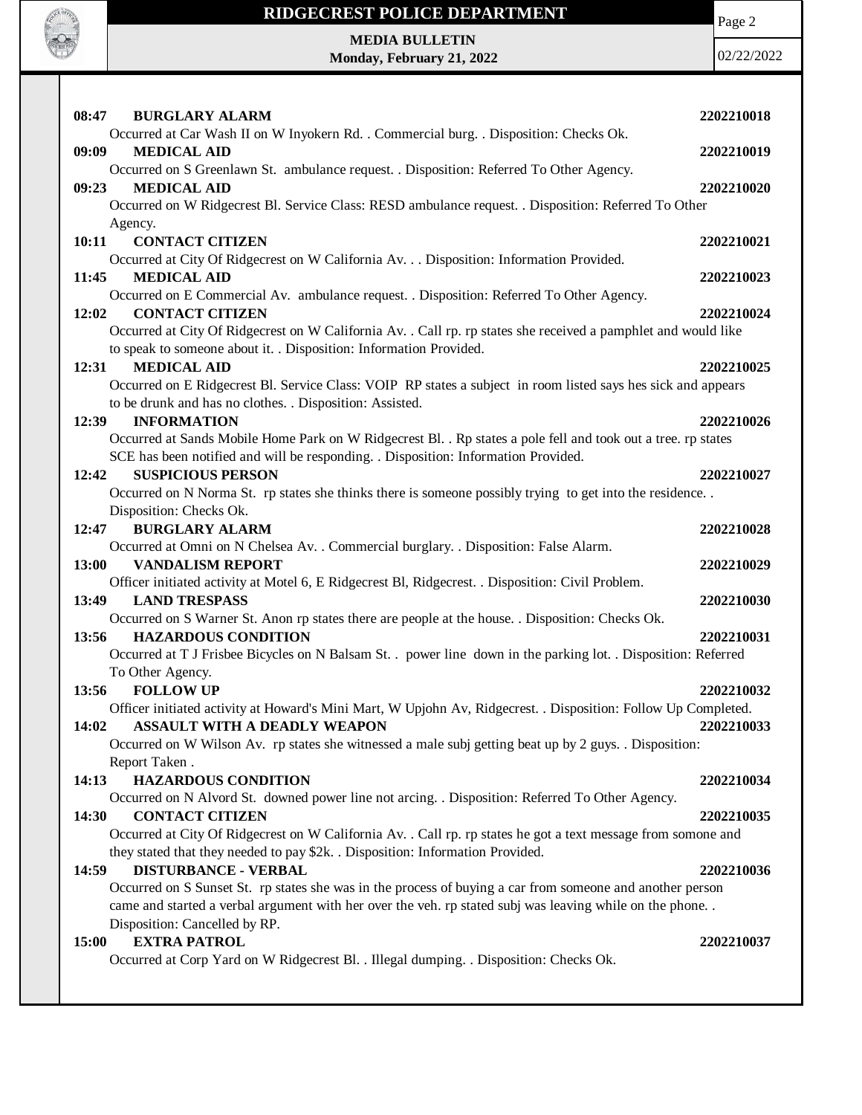

Page 2

#### **MEDIA BULLETIN Monday, February 21, 2022**

02/22/2022

| 08:47 | <b>BURGLARY ALARM</b>                                                                                          | 2202210018 |
|-------|----------------------------------------------------------------------------------------------------------------|------------|
|       | Occurred at Car Wash II on W Inyokern Rd. . Commercial burg. . Disposition: Checks Ok.                         |            |
| 09:09 | <b>MEDICAL AID</b>                                                                                             | 2202210019 |
|       | Occurred on S Greenlawn St. ambulance request. . Disposition: Referred To Other Agency.                        |            |
| 09:23 | <b>MEDICAL AID</b>                                                                                             | 2202210020 |
|       | Occurred on W Ridgecrest Bl. Service Class: RESD ambulance request. . Disposition: Referred To Other           |            |
|       | Agency.                                                                                                        |            |
| 10:11 | <b>CONTACT CITIZEN</b>                                                                                         | 2202210021 |
|       | Occurred at City Of Ridgecrest on W California Av. Disposition: Information Provided.                          |            |
| 11:45 | <b>MEDICAL AID</b>                                                                                             | 2202210023 |
|       | Occurred on E Commercial Av. ambulance request. . Disposition: Referred To Other Agency.                       |            |
| 12:02 | <b>CONTACT CITIZEN</b>                                                                                         | 2202210024 |
|       | Occurred at City Of Ridgecrest on W California Av. . Call rp. rp states she received a pamphlet and would like |            |
|       | to speak to someone about it. . Disposition: Information Provided.                                             |            |
| 12:31 | <b>MEDICAL AID</b>                                                                                             | 2202210025 |
|       | Occurred on E Ridgecrest Bl. Service Class: VOIP RP states a subject in room listed says hes sick and appears  |            |
|       | to be drunk and has no clothes. . Disposition: Assisted.                                                       |            |
| 12:39 | <b>INFORMATION</b>                                                                                             | 2202210026 |
|       | Occurred at Sands Mobile Home Park on W Ridgecrest Bl. . Rp states a pole fell and took out a tree. rp states  |            |
|       | SCE has been notified and will be responding. . Disposition: Information Provided.                             |            |
| 12:42 | <b>SUSPICIOUS PERSON</b>                                                                                       | 2202210027 |
|       | Occurred on N Norma St. rp states she thinks there is someone possibly trying to get into the residence        |            |
| 12:47 | Disposition: Checks Ok.<br><b>BURGLARY ALARM</b>                                                               |            |
|       | Occurred at Omni on N Chelsea Av. . Commercial burglary. . Disposition: False Alarm.                           | 2202210028 |
| 13:00 | <b>VANDALISM REPORT</b>                                                                                        | 2202210029 |
|       | Officer initiated activity at Motel 6, E Ridgecrest Bl, Ridgecrest. . Disposition: Civil Problem.              |            |
| 13:49 | <b>LAND TRESPASS</b>                                                                                           | 2202210030 |
|       | Occurred on S Warner St. Anon rp states there are people at the house. . Disposition: Checks Ok.               |            |
| 13:56 | <b>HAZARDOUS CONDITION</b>                                                                                     | 2202210031 |
|       | Occurred at T J Frisbee Bicycles on N Balsam St. . power line down in the parking lot. . Disposition: Referred |            |
|       | To Other Agency.                                                                                               |            |
| 13:56 | <b>FOLLOW UP</b>                                                                                               | 2202210032 |
|       | Officer initiated activity at Howard's Mini Mart, W Upjohn Av, Ridgecrest. . Disposition: Follow Up Completed. |            |
| 14:02 | ASSAULT WITH A DEADLY WEAPON                                                                                   | 2202210033 |
|       | Occurred on W Wilson Av. rp states she witnessed a male subj getting beat up by 2 guys. Disposition:           |            |
|       | Report Taken.                                                                                                  |            |
| 14:13 | <b>HAZARDOUS CONDITION</b>                                                                                     | 2202210034 |
|       | Occurred on N Alvord St. downed power line not arcing. . Disposition: Referred To Other Agency.                |            |
| 14:30 | <b>CONTACT CITIZEN</b>                                                                                         | 2202210035 |
|       | Occurred at City Of Ridgecrest on W California Av. . Call rp. rp states he got a text message from somone and  |            |
|       | they stated that they needed to pay \$2k. . Disposition: Information Provided.                                 |            |
| 14:59 | <b>DISTURBANCE - VERBAL</b>                                                                                    | 2202210036 |
|       | Occurred on S Sunset St. rp states she was in the process of buying a car from someone and another person      |            |
|       | came and started a verbal argument with her over the veh. rp stated subj was leaving while on the phone        |            |
|       | Disposition: Cancelled by RP.                                                                                  |            |
| 15:00 | <b>EXTRA PATROL</b>                                                                                            | 2202210037 |
|       | Occurred at Corp Yard on W Ridgecrest Bl. . Illegal dumping. . Disposition: Checks Ok.                         |            |
|       |                                                                                                                |            |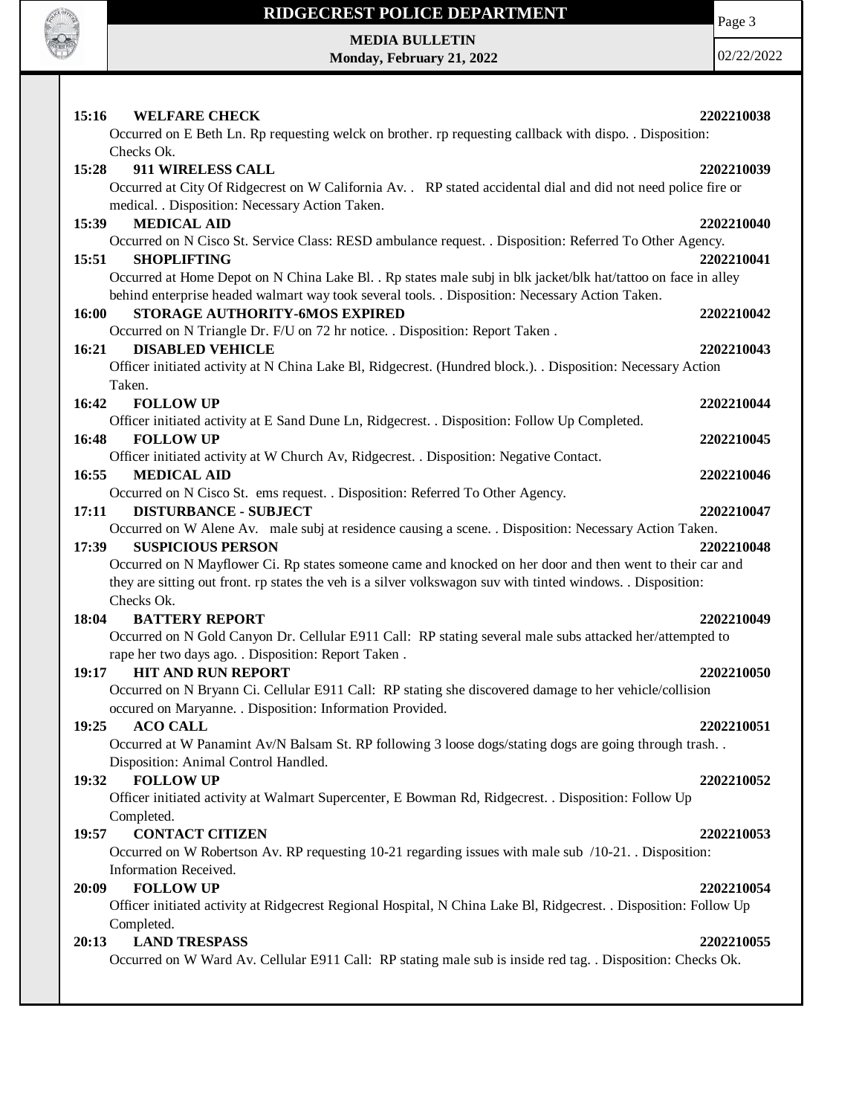

Page 3

**MEDIA BULLETIN Monday, February 21, 2022**

02/22/2022

| 15:16<br><b>WELFARE CHECK</b><br>Occurred on E Beth Ln. Rp requesting welck on brother. rp requesting callback with dispo. . Disposition: | 2202210038 |
|-------------------------------------------------------------------------------------------------------------------------------------------|------------|
| Checks Ok.                                                                                                                                |            |
| 911 WIRELESS CALL<br>15:28                                                                                                                | 2202210039 |
| Occurred at City Of Ridgecrest on W California Av. . RP stated accidental dial and did not need police fire or                            |            |
| medical. . Disposition: Necessary Action Taken.                                                                                           |            |
| <b>MEDICAL AID</b><br>15:39                                                                                                               | 2202210040 |
| Occurred on N Cisco St. Service Class: RESD ambulance request. . Disposition: Referred To Other Agency.                                   |            |
| 15:51<br><b>SHOPLIFTING</b>                                                                                                               | 2202210041 |
| Occurred at Home Depot on N China Lake Bl. . Rp states male subj in blk jacket/blk hat/tattoo on face in alley                            |            |
| behind enterprise headed walmart way took several tools. . Disposition: Necessary Action Taken.                                           |            |
| 16:00<br>STORAGE AUTHORITY-6MOS EXPIRED                                                                                                   | 2202210042 |
| Occurred on N Triangle Dr. F/U on 72 hr notice. . Disposition: Report Taken.                                                              |            |
| <b>DISABLED VEHICLE</b><br>16:21                                                                                                          | 2202210043 |
| Officer initiated activity at N China Lake Bl, Ridgecrest. (Hundred block.). . Disposition: Necessary Action                              |            |
| Taken.                                                                                                                                    |            |
| 16:42<br><b>FOLLOW UP</b>                                                                                                                 | 2202210044 |
| Officer initiated activity at E Sand Dune Ln, Ridgecrest. . Disposition: Follow Up Completed.                                             |            |
| <b>FOLLOW UP</b><br>16:48                                                                                                                 | 2202210045 |
| Officer initiated activity at W Church Av, Ridgecrest. . Disposition: Negative Contact.                                                   |            |
| <b>MEDICAL AID</b><br>16:55                                                                                                               | 2202210046 |
| Occurred on N Cisco St. ems request. . Disposition: Referred To Other Agency.                                                             |            |
| <b>DISTURBANCE - SUBJECT</b><br>17:11                                                                                                     | 2202210047 |
| Occurred on W Alene Av. male subj at residence causing a scene. . Disposition: Necessary Action Taken.                                    |            |
| <b>SUSPICIOUS PERSON</b><br>17:39                                                                                                         | 2202210048 |
| Occurred on N Mayflower Ci. Rp states someone came and knocked on her door and then went to their car and                                 |            |
| they are sitting out front. rp states the veh is a silver volkswagon suv with tinted windows. . Disposition:                              |            |
| Checks Ok.                                                                                                                                |            |
| <b>BATTERY REPORT</b><br>18:04                                                                                                            | 2202210049 |
| Occurred on N Gold Canyon Dr. Cellular E911 Call: RP stating several male subs attacked her/attempted to                                  |            |
| rape her two days ago. . Disposition: Report Taken.                                                                                       |            |
| <b>HIT AND RUN REPORT</b><br>19:17                                                                                                        | 2202210050 |
| Occurred on N Bryann Ci. Cellular E911 Call: RP stating she discovered damage to her vehicle/collision                                    |            |
| occured on Maryanne. . Disposition: Information Provided.                                                                                 |            |
| 19:25<br><b>ACO CALL</b>                                                                                                                  | 2202210051 |
| Occurred at W Panamint Av/N Balsam St. RP following 3 loose dogs/stating dogs are going through trash                                     |            |
| Disposition: Animal Control Handled.                                                                                                      |            |
| <b>FOLLOW UP</b><br>19:32                                                                                                                 | 2202210052 |
| Officer initiated activity at Walmart Supercenter, E Bowman Rd, Ridgecrest. . Disposition: Follow Up                                      |            |
| Completed.                                                                                                                                |            |
| <b>CONTACT CITIZEN</b><br>19:57                                                                                                           | 2202210053 |
| Occurred on W Robertson Av. RP requesting 10-21 regarding issues with male sub /10-21. Disposition:                                       |            |
| Information Received.                                                                                                                     |            |
| <b>FOLLOW UP</b><br>20:09                                                                                                                 | 2202210054 |
| Officer initiated activity at Ridgecrest Regional Hospital, N China Lake Bl, Ridgecrest. . Disposition: Follow Up                         |            |
| Completed.                                                                                                                                |            |
| <b>LAND TRESPASS</b><br>20:13                                                                                                             | 2202210055 |
| Occurred on W Ward Av. Cellular E911 Call: RP stating male sub is inside red tag. . Disposition: Checks Ok.                               |            |
|                                                                                                                                           |            |
|                                                                                                                                           |            |
|                                                                                                                                           |            |
|                                                                                                                                           |            |